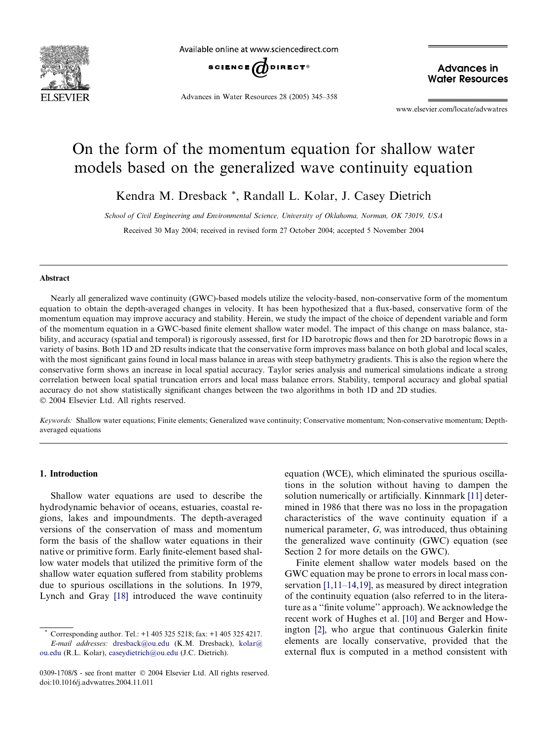

Available online at www.sciencedirect.com



Advances in Water Resources 28 (2005) 345–358

**Advances in Water Resources** 

www.elsevier.com/locate/advwatres

# On the form of the momentum equation for shallow water models based on the generalized wave continuity equation

Kendra M. Dresback \*, Randall L. Kolar, J. Casey Dietrich

School of Civil Engineering and Environmental Science, University of Oklahoma, Norman, OK 73019, USA

Received 30 May 2004; received in revised form 27 October 2004; accepted 5 November 2004

#### Abstract

Nearly all generalized wave continuity (GWC)-based models utilize the velocity-based, non-conservative form of the momentum equation to obtain the depth-averaged changes in velocity. It has been hypothesized that a flux-based, conservative form of the momentum equation may improve accuracy and stability. Herein, we study the impact of the choice of dependent variable and form of the momentum equation in a GWC-based finite element shallow water model. The impact of this change on mass balance, stability, and accuracy (spatial and temporal) is rigorously assessed, first for 1D barotropic flows and then for 2D barotropic flows in a variety of basins. Both 1D and 2D results indicate that the conservative form improves mass balance on both global and local scales, with the most significant gains found in local mass balance in areas with steep bathymetry gradients. This is also the region where the conservative form shows an increase in local spatial accuracy. Taylor series analysis and numerical simulations indicate a strong correlation between local spatial truncation errors and local mass balance errors. Stability, temporal accuracy and global spatial accuracy do not show statistically significant changes between the two algorithms in both 1D and 2D studies. 2004 Elsevier Ltd. All rights reserved.

Keywords: Shallow water equations; Finite elements; Generalized wave continuity; Conservative momentum; Non-conservative momentum; Depthaveraged equations

## 1. Introduction

Shallow water equations are used to describe the hydrodynamic behavior of oceans, estuaries, coastal regions, lakes and impoundments. The depth-averaged versions of the conservation of mass and momentum form the basis of the shallow water equations in their native or primitive form. Early finite-element based shallow water models that utilized the primitive form of the shallow water equation suffered from stability problems due to spurious oscillations in the solutions. In 1979, Lynch and Gray [\[18\]](#page-13-0) introduced the wave continuity

equation (WCE), which eliminated the spurious oscillations in the solution without having to dampen the solution numerically or artificially. Kinnmark [\[11\]](#page-13-0) determined in 1986 that there was no loss in the propagation characteristics of the wave continuity equation if a numerical parameter, G, was introduced, thus obtaining the generalized wave continuity (GWC) equation (see Section 2 for more details on the GWC).

Finite element shallow water models based on the GWC equation may be prone to errors in local mass con-servation [\[1,11–14,19\],](#page-13-0) as measured by direct integration of the continuity equation (also referred to in the literature as a ''finite volume'' approach). We acknowledge the recent work of Hughes et al. [\[10\]](#page-13-0) and Berger and Howington [\[2\]](#page-13-0), who argue that continuous Galerkin finite elements are locally conservative, provided that the external flux is computed in a method consistent with

<sup>\*</sup> Corresponding author. Tel.: +1 405 325 5218; fax: +1 405 325 4217. E-mail addresses: [dresback@ou.edu](mailto:dresback@ou.edu) (K.M. Dresback), [kolar@](mailto:kolar@ ou.edu) [ou.edu](mailto:kolar@ ou.edu) (R.L. Kolar), [caseydietrich@ou.edu](mailto:caseydietrich@ou.edu) (J.C. Dietrich).

<sup>0309-1708/\$ -</sup> see front matter © 2004 Elsevier Ltd. All rights reserved. doi:10.1016/j.advwatres.2004.11.011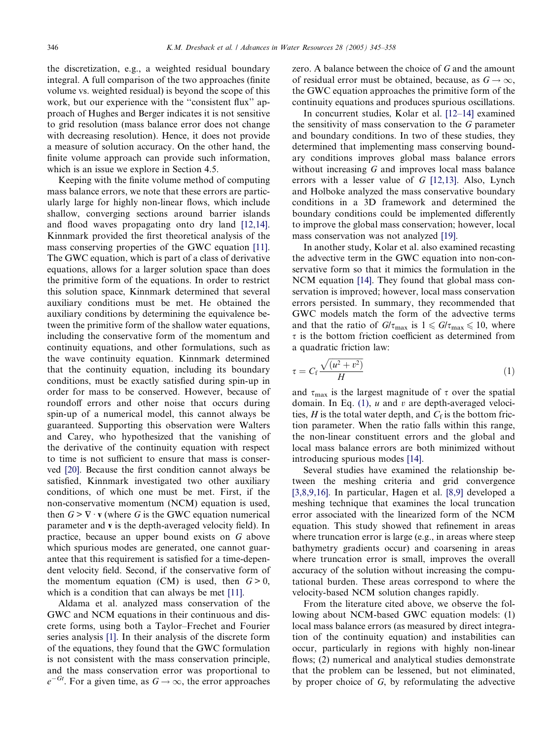the discretization, e.g., a weighted residual boundary integral. A full comparison of the two approaches (finite volume vs. weighted residual) is beyond the scope of this work, but our experience with the ''consistent flux'' approach of Hughes and Berger indicates it is not sensitive to grid resolution (mass balance error does not change with decreasing resolution). Hence, it does not provide a measure of solution accuracy. On the other hand, the finite volume approach can provide such information, which is an issue we explore in Section 4.5.

Keeping with the finite volume method of computing mass balance errors, we note that these errors are particularly large for highly non-linear flows, which include shallow, converging sections around barrier islands and flood waves propagating onto dry land [\[12,14\]](#page-13-0). Kinnmark provided the first theoretical analysis of the mass conserving properties of the GWC equation [\[11\]](#page-13-0). The GWC equation, which is part of a class of derivative equations, allows for a larger solution space than does the primitive form of the equations. In order to restrict this solution space, Kinnmark determined that several auxiliary conditions must be met. He obtained the auxiliary conditions by determining the equivalence between the primitive form of the shallow water equations, including the conservative form of the momentum and continuity equations, and other formulations, such as the wave continuity equation. Kinnmark determined that the continuity equation, including its boundary conditions, must be exactly satisfied during spin-up in order for mass to be conserved. However, because of roundoff errors and other noise that occurs during spin-up of a numerical model, this cannot always be guaranteed. Supporting this observation were Walters and Carey, who hypothesized that the vanishing of the derivative of the continuity equation with respect to time is not sufficient to ensure that mass is conserved [\[20\]](#page-13-0). Because the first condition cannot always be satisfied, Kinnmark investigated two other auxiliary conditions, of which one must be met. First, if the non-conservative momentum (NCM) equation is used, then  $G > \nabla \cdot \mathbf{v}$  (where G is the GWC equation numerical parameter and v is the depth-averaged velocity field). In practice, because an upper bound exists on G above which spurious modes are generated, one cannot guarantee that this requirement is satisfied for a time-dependent velocity field. Second, if the conservative form of the momentum equation (CM) is used, then  $G > 0$ , which is a condition that can always be met [\[11\].](#page-13-0)

Aldama et al. analyzed mass conservation of the GWC and NCM equations in their continuous and discrete forms, using both a Taylor–Frechet and Fourier series analysis [\[1\].](#page-13-0) In their analysis of the discrete form of the equations, they found that the GWC formulation is not consistent with the mass conservation principle, and the mass conservation error was proportional to  $e^{-Gt}$ . For a given time, as  $G \rightarrow \infty$ , the error approaches

zero. A balance between the choice of G and the amount of residual error must be obtained, because, as  $G \rightarrow \infty$ , the GWC equation approaches the primitive form of the continuity equations and produces spurious oscillations.

In concurrent studies, Kolar et al. [\[12–14\]](#page-13-0) examined the sensitivity of mass conservation to the G parameter and boundary conditions. In two of these studies, they determined that implementing mass conserving boundary conditions improves global mass balance errors without increasing G and improves local mass balance errors with a lesser value of  $G$  [\[12,13\].](#page-13-0) Also, Lynch and Holboke analyzed the mass conservative boundary conditions in a 3D framework and determined the boundary conditions could be implemented differently to improve the global mass conservation; however, local mass conservation was not analyzed [\[19\].](#page-13-0)

In another study, Kolar et al. also examined recasting the advective term in the GWC equation into non-conservative form so that it mimics the formulation in the NCM equation [\[14\].](#page-13-0) They found that global mass conservation is improved; however, local mass conservation errors persisted. In summary, they recommended that GWC models match the form of the advective terms and that the ratio of  $G/\tau_{\text{max}}$  is  $1 \le G/\tau_{\text{max}} \le 10$ , where  $\tau$  is the bottom friction coefficient as determined from a quadratic friction law:

$$
\tau = C_f \frac{\sqrt{(u^2 + v^2)}}{H} \tag{1}
$$

and  $\tau_{\text{max}}$  is the largest magnitude of  $\tau$  over the spatial domain. In Eq.  $(1)$ , u and v are depth-averaged velocities,  $H$  is the total water depth, and  $C_f$  is the bottom friction parameter. When the ratio falls within this range, the non-linear constituent errors and the global and local mass balance errors are both minimized without introducing spurious modes [\[14\]](#page-13-0).

Several studies have examined the relationship between the meshing criteria and grid convergence [\[3,8,9,16\]](#page-13-0). In particular, Hagen et al. [\[8,9\]](#page-13-0) developed a meshing technique that examines the local truncation error associated with the linearized form of the NCM equation. This study showed that refinement in areas where truncation error is large (e.g., in areas where steep bathymetry gradients occur) and coarsening in areas where truncation error is small, improves the overall accuracy of the solution without increasing the computational burden. These areas correspond to where the velocity-based NCM solution changes rapidly.

From the literature cited above, we observe the following about NCM-based GWC equation models: (1) local mass balance errors (as measured by direct integration of the continuity equation) and instabilities can occur, particularly in regions with highly non-linear flows; (2) numerical and analytical studies demonstrate that the problem can be lessened, but not eliminated, by proper choice of G, by reformulating the advective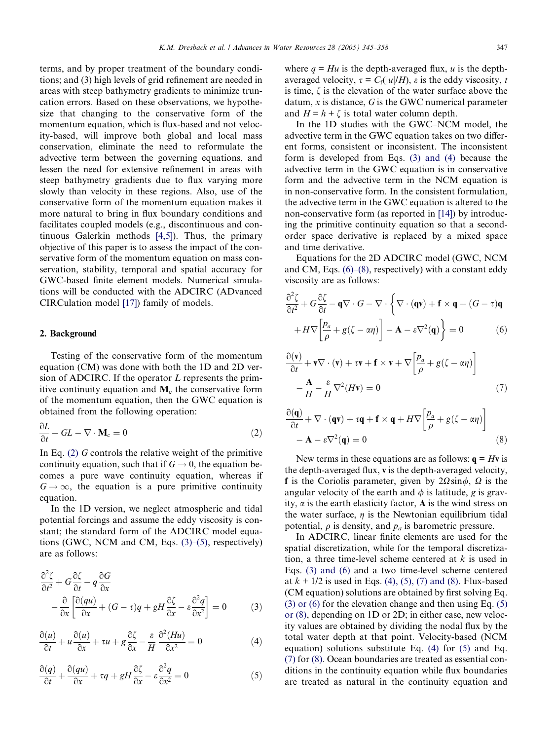terms, and by proper treatment of the boundary conditions; and (3) high levels of grid refinement are needed in areas with steep bathymetry gradients to minimize truncation errors. Based on these observations, we hypothesize that changing to the conservative form of the momentum equation, which is flux-based and not velocity-based, will improve both global and local mass conservation, eliminate the need to reformulate the advective term between the governing equations, and lessen the need for extensive refinement in areas with steep bathymetry gradients due to flux varying more slowly than velocity in these regions. Also, use of the conservative form of the momentum equation makes it more natural to bring in flux boundary conditions and facilitates coupled models (e.g., discontinuous and continuous Galerkin methods [\[4,5\]](#page-13-0)). Thus, the primary objective of this paper is to assess the impact of the conservative form of the momentum equation on mass conservation, stability, temporal and spatial accuracy for GWC-based finite element models. Numerical simulations will be conducted with the ADCIRC (ADvanced CIRCulation model [\[17\]](#page-13-0)) family of models.

# 2. Background

Testing of the conservative form of the momentum equation (CM) was done with both the 1D and 2D version of ADCIRC. If the operator L represents the primitive continuity equation and  $M<sub>c</sub>$  the conservative form of the momentum equation, then the GWC equation is obtained from the following operation:

$$
\frac{\partial L}{\partial t} + GL - \nabla \cdot \mathbf{M}_{c} = 0
$$
\n(2)

In Eq. (2) G controls the relative weight of the primitive continuity equation, such that if  $G \rightarrow 0$ , the equation becomes a pure wave continuity equation, whereas if  $G \rightarrow \infty$ , the equation is a pure primitive continuity equation.

In the 1D version, we neglect atmospheric and tidal potential forcings and assume the eddy viscosity is constant; the standard form of the ADCIRC model equations (GWC, NCM and CM, Eqs. (3)–(5), respectively) are as follows:

$$
\frac{\partial^2 \zeta}{\partial t^2} + G \frac{\partial \zeta}{\partial t} - q \frac{\partial G}{\partial x} \n- \frac{\partial}{\partial x} \left[ \frac{\partial (qu)}{\partial x} + (G - \tau)q + gH \frac{\partial \zeta}{\partial x} - \varepsilon \frac{\partial^2 q}{\partial x^2} \right] = 0
$$
\n(3)

$$
\frac{\partial(u)}{\partial t} + u \frac{\partial(u)}{\partial x} + \tau u + g \frac{\partial \zeta}{\partial x} - \frac{\varepsilon}{H} \frac{\partial^2 (Hu)}{\partial x^2} = 0
$$
 (4)

$$
\frac{\partial(q)}{\partial t} + \frac{\partial(qu)}{\partial x} + \tau q + gH \frac{\partial \zeta}{\partial x} - \varepsilon \frac{\partial^2 q}{\partial x^2} = 0
$$
 (5)

where  $q = Hu$  is the depth-averaged flux, u is the depthaveraged velocity,  $\tau = C_f(|u|/H)$ ,  $\varepsilon$  is the eddy viscosity, t is time,  $\zeta$  is the elevation of the water surface above the datum,  $x$  is distance,  $G$  is the GWC numerical parameter and  $H = h + \zeta$  is total water column depth.

In the 1D studies with the GWC–NCM model, the advective term in the GWC equation takes on two different forms, consistent or inconsistent. The inconsistent form is developed from Eqs. (3) and (4) because the advective term in the GWC equation is in conservative form and the advective term in the NCM equation is in non-conservative form. In the consistent formulation, the advective term in the GWC equation is altered to the non-conservative form (as reported in [\[14\]](#page-13-0)) by introducing the primitive continuity equation so that a secondorder space derivative is replaced by a mixed space and time derivative.

Equations for the 2D ADCIRC model (GWC, NCM and CM, Eqs. (6)–(8), respectively) with a constant eddy viscosity are as follows:

$$
\frac{\partial^2 \zeta}{\partial t^2} + G \frac{\partial \zeta}{\partial t} - \mathbf{q} \nabla \cdot G - \nabla \cdot \left\{ \nabla \cdot (\mathbf{q} \mathbf{v}) + \mathbf{f} \times \mathbf{q} + (G - \tau) \mathbf{q} \right. \left. + H \nabla \left[ \frac{p_a}{\rho} + g(\zeta - \alpha \eta) \right] - \mathbf{A} - \varepsilon \nabla^2 (\mathbf{q}) \right\} = 0 \tag{6}
$$

$$
\frac{\partial(\mathbf{v})}{\partial t} + \mathbf{v}\nabla \cdot (\mathbf{v}) + \tau \mathbf{v} + \mathbf{f} \times \mathbf{v} + \nabla \left[ \frac{p_a}{\rho} + g(\zeta - \alpha \eta) \right] \n- \frac{\mathbf{A}}{H} - \frac{\varepsilon}{H} \nabla^2 (H \mathbf{v}) = 0
$$
\n(7)

$$
\frac{\partial(\mathbf{q})}{\partial t} + \nabla \cdot (\mathbf{q} \mathbf{v}) + \tau \mathbf{q} + \mathbf{f} \times \mathbf{q} + H \nabla \left[ \frac{p_a}{\rho} + g(\zeta - \alpha \eta) \right] - \mathbf{A} - \varepsilon \nabla^2(\mathbf{q}) = 0
$$
\n(8)

New terms in these equations are as follows:  $q = Hv$  is the depth-averaged flux, v is the depth-averaged velocity, f is the Coriolis parameter, given by  $2\Omega \sin \phi$ ,  $\Omega$  is the angular velocity of the earth and  $\phi$  is latitude, g is gravity,  $\alpha$  is the earth elasticity factor, **A** is the wind stress on the water surface,  $\eta$  is the Newtonian equilibrium tidal potential,  $\rho$  is density, and  $p_a$  is barometric pressure.

In ADCIRC, linear finite elements are used for the spatial discretization, while for the temporal discretization, a three time-level scheme centered at  $k$  is used in Eqs. (3) and (6) and a two time-level scheme centered at  $k + 1/2$  is used in Eqs. (4), (5), (7) and (8). Flux-based (CM equation) solutions are obtained by first solving Eq. (3) or (6) for the elevation change and then using Eq. (5) or (8), depending on 1D or 2D; in either case, new velocity values are obtained by dividing the nodal flux by the total water depth at that point. Velocity-based (NCM equation) solutions substitute Eq. (4) for (5) and Eq. (7) for (8). Ocean boundaries are treated as essential conditions in the continuity equation while flux boundaries are treated as natural in the continuity equation and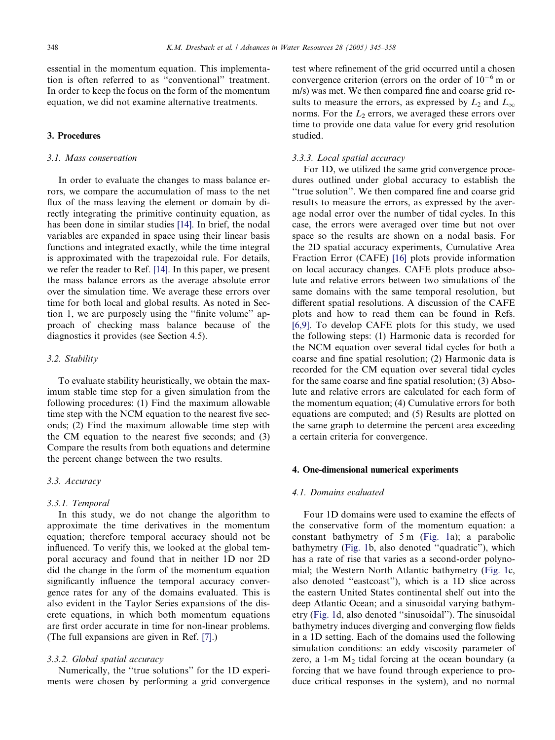essential in the momentum equation. This implementation is often referred to as ''conventional'' treatment. In order to keep the focus on the form of the momentum equation, we did not examine alternative treatments.

## 3. Procedures

## 3.1. Mass conservation

In order to evaluate the changes to mass balance errors, we compare the accumulation of mass to the net flux of the mass leaving the element or domain by directly integrating the primitive continuity equation, as has been done in similar studies [\[14\].](#page-13-0) In brief, the nodal variables are expanded in space using their linear basis functions and integrated exactly, while the time integral is approximated with the trapezoidal rule. For details, we refer the reader to Ref. [\[14\].](#page-13-0) In this paper, we present the mass balance errors as the average absolute error over the simulation time. We average these errors over time for both local and global results. As noted in Section 1, we are purposely using the ''finite volume'' approach of checking mass balance because of the diagnostics it provides (see Section 4.5).

#### 3.2. Stability

To evaluate stability heuristically, we obtain the maximum stable time step for a given simulation from the following procedures: (1) Find the maximum allowable time step with the NCM equation to the nearest five seconds; (2) Find the maximum allowable time step with the CM equation to the nearest five seconds; and (3) Compare the results from both equations and determine the percent change between the two results.

# 3.3. Accuracy

#### 3.3.1. Temporal

In this study, we do not change the algorithm to approximate the time derivatives in the momentum equation; therefore temporal accuracy should not be influenced. To verify this, we looked at the global temporal accuracy and found that in neither 1D nor 2D did the change in the form of the momentum equation significantly influence the temporal accuracy convergence rates for any of the domains evaluated. This is also evident in the Taylor Series expansions of the discrete equations, in which both momentum equations are first order accurate in time for non-linear problems. (The full expansions are given in Ref. [\[7\]](#page-13-0).)

# 3.3.2. Global spatial accuracy

Numerically, the ''true solutions'' for the 1D experiments were chosen by performing a grid convergence test where refinement of the grid occurred until a chosen convergence criterion (errors on the order of  $10^{-6}$  m or m/s) was met. We then compared fine and coarse grid results to measure the errors, as expressed by  $L_2$  and  $L_{\infty}$ norms. For the  $L_2$  errors, we averaged these errors over time to provide one data value for every grid resolution studied.

# 3.3.3. Local spatial accuracy

For 1D, we utilized the same grid convergence procedures outlined under global accuracy to establish the ''true solution''. We then compared fine and coarse grid results to measure the errors, as expressed by the average nodal error over the number of tidal cycles. In this case, the errors were averaged over time but not over space so the results are shown on a nodal basis. For the 2D spatial accuracy experiments, Cumulative Area Fraction Error (CAFE) [\[16\]](#page-13-0) plots provide information on local accuracy changes. CAFE plots produce absolute and relative errors between two simulations of the same domains with the same temporal resolution, but different spatial resolutions. A discussion of the CAFE plots and how to read them can be found in Refs. [\[6,9\].](#page-13-0) To develop CAFE plots for this study, we used the following steps: (1) Harmonic data is recorded for the NCM equation over several tidal cycles for both a coarse and fine spatial resolution; (2) Harmonic data is recorded for the CM equation over several tidal cycles for the same coarse and fine spatial resolution; (3) Absolute and relative errors are calculated for each form of the momentum equation; (4) Cumulative errors for both equations are computed; and (5) Results are plotted on the same graph to determine the percent area exceeding a certain criteria for convergence.

#### 4. One-dimensional numerical experiments

## 4.1. Domains evaluated

Four 1D domains were used to examine the effects of the conservative form of the momentum equation: a constant bathymetry of 5 m [\(Fig. 1](#page-4-0)a); a parabolic bathymetry ([Fig. 1b](#page-4-0), also denoted ''quadratic''), which has a rate of rise that varies as a second-order polynomial; the Western North Atlantic bathymetry ([Fig. 1c](#page-4-0), also denoted ''eastcoast''), which is a 1D slice across the eastern United States continental shelf out into the deep Atlantic Ocean; and a sinusoidal varying bathymetry [\(Fig. 1d](#page-4-0), also denoted ''sinusoidal''). The sinusoidal bathymetry induces diverging and converging flow fields in a 1D setting. Each of the domains used the following simulation conditions: an eddy viscosity parameter of zero, a 1-m  $M_2$  tidal forcing at the ocean boundary (a forcing that we have found through experience to produce critical responses in the system), and no normal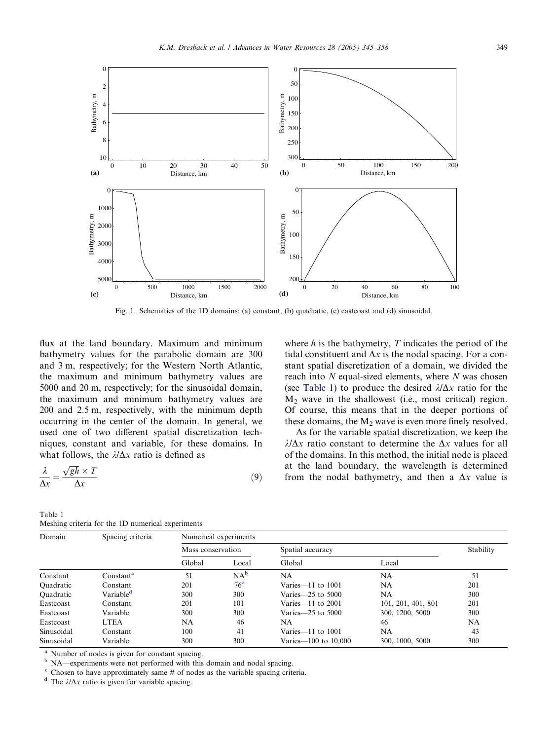<span id="page-4-0"></span>

Fig. 1. Schematics of the 1D domains: (a) constant, (b) quadratic, (c) eastcoast and (d) sinusoidal.

flux at the land boundary. Maximum and minimum bathymetry values for the parabolic domain are 300 and 3 m, respectively; for the Western North Atlant the maximum and minimum bathymetry values 5000 and 20 m, respectively; for the sinusoidal dom the maximum and minimum bathymetry values  $200$  and  $2.5$  m, respectively, with the minimum de occurring in the center of the domain. In general, used one of two different spatial discretization to niques, constant and variable, for these domains. In what follows, the  $\lambda/\Delta x$  ratio is defined as

$$
\frac{\lambda}{\Delta x} = \frac{\sqrt{gh} \times T}{\Delta x} \tag{9}
$$

Table 1

| Meshing criteria for the 1D numerical experiments |  |  |
|---------------------------------------------------|--|--|
|                                                   |  |  |

| ntic, | stant spatial discretization of a domain, we divided the              |
|-------|-----------------------------------------------------------------------|
| are   | reach into N equal-sized elements, where N was chosen                 |
| ain.  | (see Table 1) to produce the desired $\lambda/\Delta x$ ratio for the |
| are   | $M_2$ wave in the shallowest (i.e., most critical) region.            |
| :pth  | Of course, this means that in the deeper portions of                  |
| we    | these domains, the $M_2$ wave is even more finely resolved.           |
| ech-  | As for the variable spatial discretization, we keep the               |
|       |                                                                       |

 $\lambda/\Delta x$  ratio constant to determine the  $\Delta x$  values for all of the domains. In this method, the initial node is placed at the land boundary, the wavelength is determined from the nodal bathymetry, and then a  $\Delta x$  value is

where  $h$  is the bathymetry,  $T$  indicates the period of the tidal constituent and  $\Delta x$  is the nodal spacing. For a con-

| Domain     | Spacing criteria      | Numerical experiments |                 |                        |                    |           |
|------------|-----------------------|-----------------------|-----------------|------------------------|--------------------|-----------|
|            |                       | Mass conservation     |                 | Spatial accuracy       |                    | Stability |
|            |                       | Global                | Local           | Global                 | Local              |           |
| Constant   | Constant <sup>a</sup> | 51                    | $NA^b$          | NA                     | <b>NA</b>          | 51        |
| Quadratic  | Constant              | 201                   | 76 <sup>c</sup> | Varies- $11$ to $1001$ | NA                 | 201       |
| Quadratic  | Variable <sup>d</sup> | 300                   | 300             | Varies $-25$ to $5000$ | <b>NA</b>          | 300       |
| Eastcoast  | Constant              | 201                   | 101             | Varies- $11$ to 2001   | 101, 201, 401, 801 | 201       |
| Eastcoast  | Variable              | 300                   | 300             | Varies $-25$ to $5000$ | 300, 1200, 5000    | 300       |
| Eastcoast  | <b>LTEA</b>           | NA                    | 46              | NA                     | 46                 | NA        |
| Sinusoidal | Constant              | 100                   | 41              | Varies- $11$ to $1001$ | <b>NA</b>          | 43        |
| Sinusoidal | Variable              | 300                   | 300             | Varies-100 to 10,000   | 300, 1000, 5000    | 300       |

<sup>a</sup> Number of nodes is given for constant spacing.<br> $\frac{b}{N}$  NA—experiments were not performed with this

 $\mu$  NA—experiments were not performed with this domain and nodal spacing.

Chosen to have approximately same # of nodes as the variable spacing criteria.

<sup>d</sup> The  $\lambda/\Delta x$  ratio is given for variable spacing.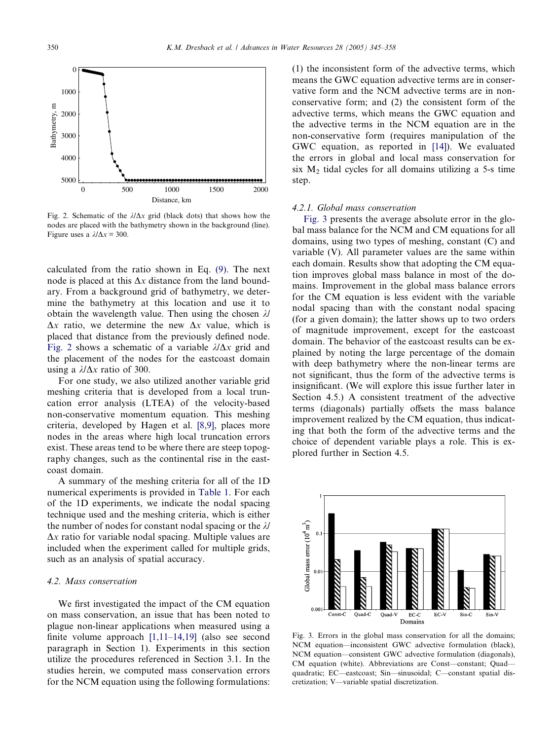<span id="page-5-0"></span>

Fig. 2. Schematic of the  $\lambda/\Delta x$  grid (black dots) that shows how the nodes are placed with the bathymetry shown in the background (line). Figure uses a  $\lambda/\Delta x = 300$ .

calculated from the ratio shown in Eq. [\(9\).](#page-4-0) The next node is placed at this  $\Delta x$  distance from the land boundary. From a background grid of bathymetry, we determine the bathymetry at this location and use it to obtain the wavelength value. Then using the chosen  $\lambda$ /  $\Delta x$  ratio, we determine the new  $\Delta x$  value, which is placed that distance from the previously defined node. Fig. 2 shows a schematic of a variable  $\lambda/\Delta x$  grid and the placement of the nodes for the eastcoast domain using a  $\lambda/\Delta x$  ratio of 300.

For one study, we also utilized another variable grid meshing criteria that is developed from a local truncation error analysis (LTEA) of the velocity-based non-conservative momentum equation. This meshing criteria, developed by Hagen et al. [\[8,9\],](#page-13-0) places more nodes in the areas where high local truncation errors exist. These areas tend to be where there are steep topography changes, such as the continental rise in the eastcoast domain.

A summary of the meshing criteria for all of the 1D numerical experiments is provided in [Table 1](#page-4-0). For each of the 1D experiments, we indicate the nodal spacing technique used and the meshing criteria, which is either the number of nodes for constant nodal spacing or the  $\lambda$  $\Delta x$  ratio for variable nodal spacing. Multiple values are included when the experiment called for multiple grids, such as an analysis of spatial accuracy.

# 4.2. Mass conservation

We first investigated the impact of the CM equation on mass conservation, an issue that has been noted to plague non-linear applications when measured using a finite volume approach [\[1,11–14,19\]](#page-13-0) (also see second paragraph in Section 1). Experiments in this section utilize the procedures referenced in Section 3.1. In the studies herein, we computed mass conservation errors for the NCM equation using the following formulations: (1) the inconsistent form of the advective terms, which means the GWC equation advective terms are in conservative form and the NCM advective terms are in nonconservative form; and (2) the consistent form of the advective terms, which means the GWC equation and the advective terms in the NCM equation are in the non-conservative form (requires manipulation of the GWC equation, as reported in [\[14\]](#page-13-0)). We evaluated the errors in global and local mass conservation for six  $M<sub>2</sub>$  tidal cycles for all domains utilizing a 5-s time step.

#### 4.2.1. Global mass conservation

Fig. 3 presents the average absolute error in the global mass balance for the NCM and CM equations for all domains, using two types of meshing, constant (C) and variable (V). All parameter values are the same within each domain. Results show that adopting the CM equation improves global mass balance in most of the domains. Improvement in the global mass balance errors for the CM equation is less evident with the variable nodal spacing than with the constant nodal spacing (for a given domain); the latter shows up to two orders of magnitude improvement, except for the eastcoast domain. The behavior of the eastcoast results can be explained by noting the large percentage of the domain with deep bathymetry where the non-linear terms are not significant, thus the form of the advective terms is insignificant. (We will explore this issue further later in Section 4.5.) A consistent treatment of the advective terms (diagonals) partially offsets the mass balance improvement realized by the CM equation, thus indicating that both the form of the advective terms and the choice of dependent variable plays a role. This is explored further in Section 4.5.



Fig. 3. Errors in the global mass conservation for all the domains; NCM equation—inconsistent GWC advective formulation (black), NCM equation—consistent GWC advective formulation (diagonals), CM equation (white). Abbreviations are Const—constant; Quad quadratic; EC—eastcoast; Sin—sinusoidal; C—constant spatial discretization; V—variable spatial discretization.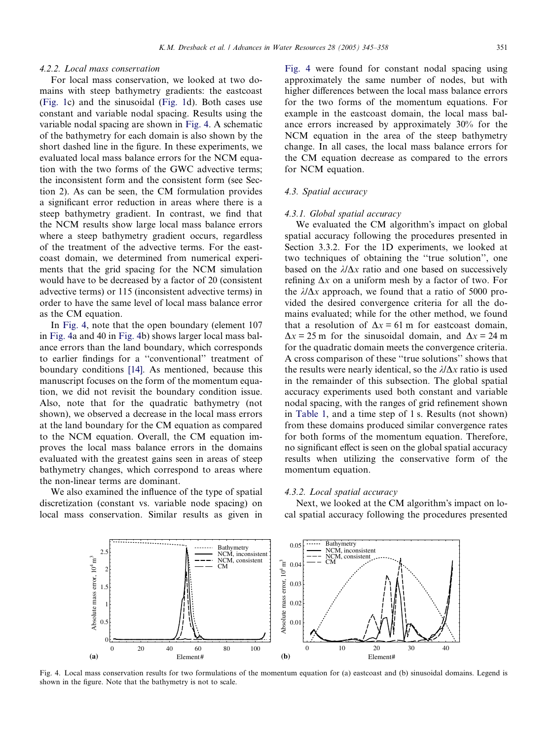## <span id="page-6-0"></span>4.2.2. Local mass conservation

For local mass conservation, we looked at two domains with steep bathymetry gradients: the eastcoast ([Fig. 1](#page-4-0)c) and the sinusoidal ([Fig. 1](#page-4-0)d). Both cases use constant and variable nodal spacing. Results using the variable nodal spacing are shown in Fig. 4. A schematic of the bathymetry for each domain is also shown by the short dashed line in the figure. In these experiments, we evaluated local mass balance errors for the NCM equation with the two forms of the GWC advective terms; the inconsistent form and the consistent form (see Section 2). As can be seen, the CM formulation provides a significant error reduction in areas where there is a steep bathymetry gradient. In contrast, we find that the NCM results show large local mass balance errors where a steep bathymetry gradient occurs, regardless of the treatment of the advective terms. For the eastcoast domain, we determined from numerical experiments that the grid spacing for the NCM simulation would have to be decreased by a factor of 20 (consistent advective terms) or 115 (inconsistent advective terms) in order to have the same level of local mass balance error as the CM equation.

In Fig. 4, note that the open boundary (element 107 in Fig. 4a and 40 in Fig. 4b) shows larger local mass balance errors than the land boundary, which corresponds to earlier findings for a ''conventional'' treatment of boundary conditions [\[14\].](#page-13-0) As mentioned, because this manuscript focuses on the form of the momentum equation, we did not revisit the boundary condition issue. Also, note that for the quadratic bathymetry (not shown), we observed a decrease in the local mass errors at the land boundary for the CM equation as compared to the NCM equation. Overall, the CM equation improves the local mass balance errors in the domains evaluated with the greatest gains seen in areas of steep bathymetry changes, which correspond to areas where the non-linear terms are dominant.

We also examined the influence of the type of spatial discretization (constant vs. variable node spacing) on local mass conservation. Similar results as given in Fig. 4 were found for constant nodal spacing using approximately the same number of nodes, but with higher differences between the local mass balance errors for the two forms of the momentum equations. For example in the eastcoast domain, the local mass balance errors increased by approximately 30% for the NCM equation in the area of the steep bathymetry change. In all cases, the local mass balance errors for the CM equation decrease as compared to the errors for NCM equation.

#### 4.3. Spatial accuracy

## 4.3.1. Global spatial accuracy

We evaluated the CM algorithm's impact on global spatial accuracy following the procedures presented in Section 3.3.2. For the 1D experiments, we looked at two techniques of obtaining the ''true solution'', one based on the  $\lambda/\Delta x$  ratio and one based on successively refining  $\Delta x$  on a uniform mesh by a factor of two. For the  $\lambda/\Delta x$  approach, we found that a ratio of 5000 provided the desired convergence criteria for all the domains evaluated; while for the other method, we found that a resolution of  $\Delta x = 61$  m for eastcoast domain,  $\Delta x = 25$  m for the sinusoidal domain, and  $\Delta x = 24$  m for the quadratic domain meets the convergence criteria. A cross comparison of these ''true solutions'' shows that the results were nearly identical, so the  $\lambda/\Delta x$  ratio is used in the remainder of this subsection. The global spatial accuracy experiments used both constant and variable nodal spacing, with the ranges of grid refinement shown in [Table 1](#page-4-0), and a time step of 1 s. Results (not shown) from these domains produced similar convergence rates for both forms of the momentum equation. Therefore, no significant effect is seen on the global spatial accuracy results when utilizing the conservative form of the momentum equation.

#### 4.3.2. Local spatial accuracy

Next, we looked at the CM algorithm's impact on local spatial accuracy following the procedures presented



Fig. 4. Local mass conservation results for two formulations of the momentum equation for (a) eastcoast and (b) sinusoidal domains. Legend is shown in the figure. Note that the bathymetry is not to scale.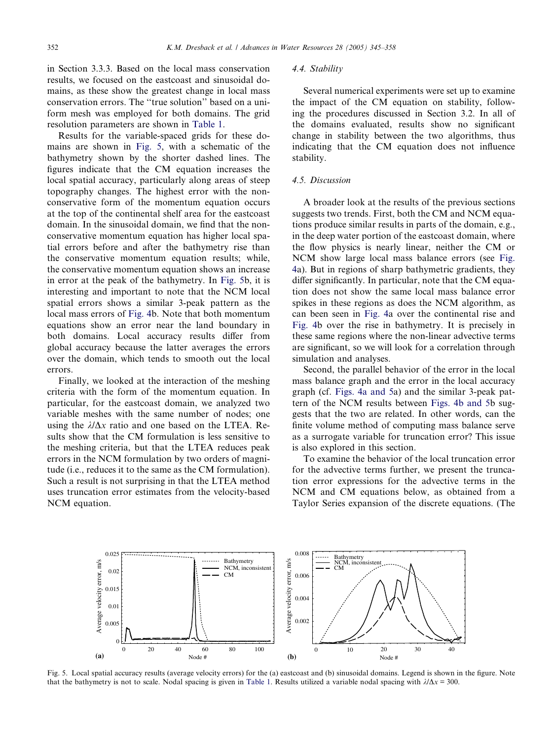<span id="page-7-0"></span>in Section 3.3.3. Based on the local mass conservation results, we focused on the eastcoast and sinusoidal domains, as these show the greatest change in local mass conservation errors. The ''true solution'' based on a uniform mesh was employed for both domains. The grid resolution parameters are shown in [Table 1.](#page-4-0)

Results for the variable-spaced grids for these domains are shown in Fig. 5, with a schematic of the bathymetry shown by the shorter dashed lines. The figures indicate that the CM equation increases the local spatial accuracy, particularly along areas of steep topography changes. The highest error with the nonconservative form of the momentum equation occurs at the top of the continental shelf area for the eastcoast domain. In the sinusoidal domain, we find that the nonconservative momentum equation has higher local spatial errors before and after the bathymetry rise than the conservative momentum equation results; while, the conservative momentum equation shows an increase in error at the peak of the bathymetry. In Fig. 5b, it is interesting and important to note that the NCM local spatial errors shows a similar 3-peak pattern as the local mass errors of [Fig. 4b](#page-6-0). Note that both momentum equations show an error near the land boundary in both domains. Local accuracy results differ from global accuracy because the latter averages the errors over the domain, which tends to smooth out the local errors.

Finally, we looked at the interaction of the meshing criteria with the form of the momentum equation. In particular, for the eastcoast domain, we analyzed two variable meshes with the same number of nodes; one using the  $\lambda/\Delta x$  ratio and one based on the LTEA. Results show that the CM formulation is less sensitive to the meshing criteria, but that the LTEA reduces peak errors in the NCM formulation by two orders of magnitude (i.e., reduces it to the same as the CM formulation). Such a result is not surprising in that the LTEA method uses truncation error estimates from the velocity-based NCM equation.

## 4.4. Stability

Several numerical experiments were set up to examine the impact of the CM equation on stability, following the procedures discussed in Section 3.2. In all of the domains evaluated, results show no significant change in stability between the two algorithms, thus indicating that the CM equation does not influence stability.

# 4.5. Discussion

A broader look at the results of the previous sections suggests two trends. First, both the CM and NCM equations produce similar results in parts of the domain, e.g., in the deep water portion of the eastcoast domain, where the flow physics is nearly linear, neither the CM or NCM show large local mass balance errors (see [Fig.](#page-6-0) [4a](#page-6-0)). But in regions of sharp bathymetric gradients, they differ significantly. In particular, note that the CM equation does not show the same local mass balance error spikes in these regions as does the NCM algorithm, as can been seen in [Fig. 4a](#page-6-0) over the continental rise and [Fig. 4](#page-6-0)b over the rise in bathymetry. It is precisely in these same regions where the non-linear advective terms are significant, so we will look for a correlation through simulation and analyses.

Second, the parallel behavior of the error in the local mass balance graph and the error in the local accuracy graph (cf. [Figs. 4a and 5](#page-6-0)a) and the similar 3-peak pattern of the NCM results between [Figs. 4b and 5b](#page-6-0) suggests that the two are related. In other words, can the finite volume method of computing mass balance serve as a surrogate variable for truncation error? This issue is also explored in this section.

To examine the behavior of the local truncation error for the advective terms further, we present the truncation error expressions for the advective terms in the NCM and CM equations below, as obtained from a Taylor Series expansion of the discrete equations. (The



Fig. 5. Local spatial accuracy results (average velocity errors) for the (a) eastcoast and (b) sinusoidal domains. Legend is shown in the figure. Note that the bathymetry is not to scale. Nodal spacing is given in [Table 1](#page-4-0). Results utilized a variable nodal spacing with  $\lambda/\Delta x = 300$ .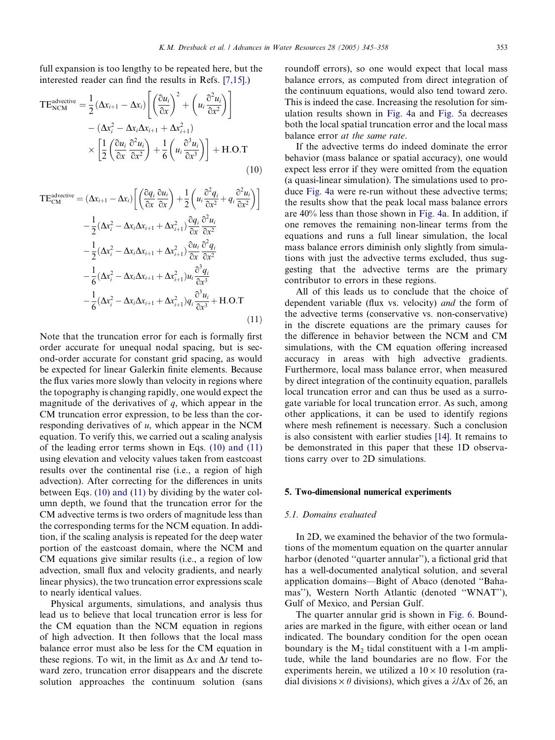full expansion is too lengthy to be repeated here, but the interested reader can find the results in Refs. [\[7,15\]](#page-13-0).)

$$
TE_{NCM}^{\text{advection}} = \frac{1}{2} (\Delta x_{i+1} - \Delta x_i) \left[ \left( \frac{\partial u_i}{\partial x} \right)^2 + \left( u_i \frac{\partial^2 u_i}{\partial x^2} \right) \right] - (\Delta x_i^2 - \Delta x_i \Delta x_{i+1} + \Delta x_{i+1}^2) \times \left[ \frac{1}{2} \left( \frac{\partial u_i}{\partial x} \frac{\partial^2 u_i}{\partial x^2} \right) + \frac{1}{6} \left( u_i \frac{\partial^3 u_i}{\partial x^3} \right) \right] + H.O.T
$$
\n(10)

$$
\begin{split}\n\text{TE}_{\text{CM}}^{\text{advection}} &= (\Delta x_{i+1} - \Delta x_i) \left[ \left( \frac{\partial q_i}{\partial x} \frac{\partial u_i}{\partial x} \right) + \frac{1}{2} \left( u_i \frac{\partial^2 q_i}{\partial x^2} + q_i \frac{\partial^2 u_i}{\partial x^2} \right) \right] \\
&- \frac{1}{2} (\Delta x_i^2 - \Delta x_i \Delta x_{i+1} + \Delta x_{i+1}^2) \frac{\partial q_i}{\partial x} \frac{\partial^2 u_i}{\partial x^2} \\
&- \frac{1}{2} (\Delta x_i^2 - \Delta x_i \Delta x_{i+1} + \Delta x_{i+1}^2) \frac{\partial u_i}{\partial x} \frac{\partial^2 q_i}{\partial x^2} \\
&- \frac{1}{6} (\Delta x_i^2 - \Delta x_i \Delta x_{i+1} + \Delta x_{i+1}^2) u_i \frac{\partial^3 q_i}{\partial x^3} \\
&- \frac{1}{6} (\Delta x_i^2 - \Delta x_i \Delta x_{i+1} + \Delta x_{i+1}^2) q_i \frac{\partial^3 u_i}{\partial x^3} + \text{H.O.T}\n\end{split} \tag{11}
$$

Note that the truncation error for each is formally first order accurate for unequal nodal spacing, but is second-order accurate for constant grid spacing, as would be expected for linear Galerkin finite elements. Because the flux varies more slowly than velocity in regions where the topography is changing rapidly, one would expect the magnitude of the derivatives of  $q$ , which appear in the CM truncation error expression, to be less than the corresponding derivatives of  $u$ , which appear in the NCM equation. To verify this, we carried out a scaling analysis of the leading error terms shown in Eqs. (10) and (11) using elevation and velocity values taken from eastcoast results over the continental rise (i.e., a region of high advection). After correcting for the differences in units between Eqs. (10) and (11) by dividing by the water column depth, we found that the truncation error for the CM advective terms is two orders of magnitude less than the corresponding terms for the NCM equation. In addition, if the scaling analysis is repeated for the deep water portion of the eastcoast domain, where the NCM and CM equations give similar results (i.e., a region of low advection, small flux and velocity gradients, and nearly linear physics), the two truncation error expressions scale to nearly identical values.

Physical arguments, simulations, and analysis thus lead us to believe that local truncation error is less for the CM equation than the NCM equation in regions of high advection. It then follows that the local mass balance error must also be less for the CM equation in these regions. To wit, in the limit as  $\Delta x$  and  $\Delta t$  tend toward zero, truncation error disappears and the discrete solution approaches the continuum solution (sans

roundoff errors), so one would expect that local mass balance errors, as computed from direct integration of the continuum equations, would also tend toward zero. This is indeed the case. Increasing the resolution for simulation results shown in [Fig. 4](#page-6-0)a and [Fig. 5](#page-7-0)a decreases both the local spatial truncation error and the local mass balance error at the same rate.

If the advective terms do indeed dominate the error behavior (mass balance or spatial accuracy), one would expect less error if they were omitted from the equation (a quasi-linear simulation). The simulations used to produce [Fig. 4a](#page-6-0) were re-run without these advective terms; the results show that the peak local mass balance errors are 40% less than those shown in [Fig. 4](#page-6-0)a. In addition, if one removes the remaining non-linear terms from the equations and runs a full linear simulation, the local mass balance errors diminish only slightly from simulations with just the advective terms excluded, thus suggesting that the advective terms are the primary contributor to errors in these regions.

All of this leads us to conclude that the choice of dependent variable (flux vs. velocity) and the form of the advective terms (conservative vs. non-conservative) in the discrete equations are the primary causes for the difference in behavior between the NCM and CM simulations, with the CM equation offering increased accuracy in areas with high advective gradients. Furthermore, local mass balance error, when measured by direct integration of the continuity equation, parallels local truncation error and can thus be used as a surrogate variable for local truncation error. As such, among other applications, it can be used to identify regions where mesh refinement is necessary. Such a conclusion is also consistent with earlier studies [\[14\]](#page-13-0). It remains to be demonstrated in this paper that these 1D observations carry over to 2D simulations.

#### 5. Two-dimensional numerical experiments

## 5.1. Domains evaluated

In 2D, we examined the behavior of the two formulations of the momentum equation on the quarter annular harbor (denoted ''quarter annular''), a fictional grid that has a well-documented analytical solution, and several application domains—Bight of Abaco (denoted ''Bahamas''), Western North Atlantic (denoted ''WNAT''), Gulf of Mexico, and Persian Gulf.

The quarter annular grid is shown in [Fig. 6.](#page-9-0) Boundaries are marked in the figure, with either ocean or land indicated. The boundary condition for the open ocean boundary is the  $M<sub>2</sub>$  tidal constituent with a 1-m amplitude, while the land boundaries are no flow. For the experiments herein, we utilized a  $10 \times 10$  resolution (radial divisions  $\times \theta$  divisions), which gives a  $\lambda/\Delta x$  of 26, an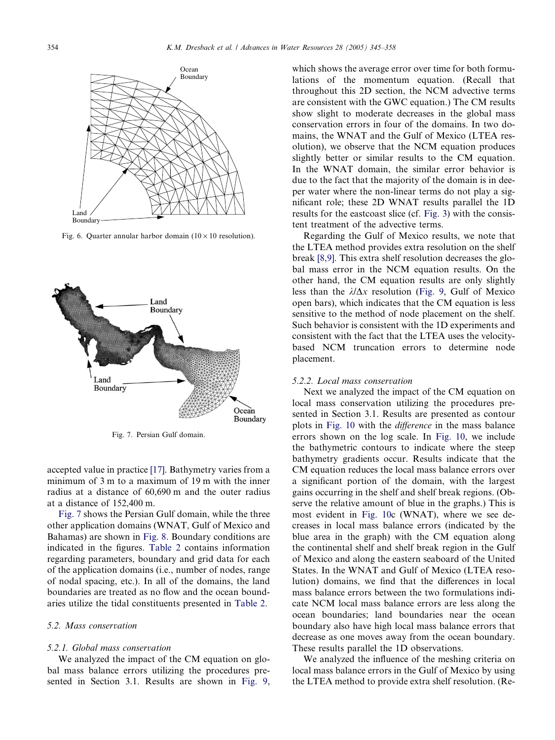<span id="page-9-0"></span>

Fig. 6. Quarter annular harbor domain  $(10 \times 10$  resolution).



Fig. 7. Persian Gulf domain.

accepted value in practice [\[17\].](#page-13-0) Bathymetry varies from a minimum of 3 m to a maximum of 19 m with the inner radius at a distance of 60,690 m and the outer radius at a distance of 152,400 m.

Fig. 7 shows the Persian Gulf domain, while the three other application domains (WNAT, Gulf of Mexico and Bahamas) are shown in [Fig. 8](#page-10-0). Boundary conditions are indicated in the figures. [Table 2](#page-10-0) contains information regarding parameters, boundary and grid data for each of the application domains (i.e., number of nodes, range of nodal spacing, etc.). In all of the domains, the land boundaries are treated as no flow and the ocean boundaries utilize the tidal constituents presented in [Table 2](#page-10-0).

#### 5.2. Mass conservation

#### 5.2.1. Global mass conservation

We analyzed the impact of the CM equation on global mass balance errors utilizing the procedures presented in Section 3.1. Results are shown in [Fig. 9](#page-11-0), which shows the average error over time for both formulations of the momentum equation. (Recall that throughout this 2D section, the NCM advective terms are consistent with the GWC equation.) The CM results show slight to moderate decreases in the global mass conservation errors in four of the domains. In two domains, the WNAT and the Gulf of Mexico (LTEA resolution), we observe that the NCM equation produces slightly better or similar results to the CM equation. In the WNAT domain, the similar error behavior is due to the fact that the majority of the domain is in deeper water where the non-linear terms do not play a significant role; these 2D WNAT results parallel the 1D results for the eastcoast slice (cf. [Fig. 3\)](#page-5-0) with the consistent treatment of the advective terms.

Regarding the Gulf of Mexico results, we note that the LTEA method provides extra resolution on the shelf break [\[8,9\].](#page-13-0) This extra shelf resolution decreases the global mass error in the NCM equation results. On the other hand, the CM equation results are only slightly less than the  $\lambda/\Delta x$  resolution ([Fig. 9](#page-11-0), Gulf of Mexico) open bars), which indicates that the CM equation is less sensitive to the method of node placement on the shelf. Such behavior is consistent with the 1D experiments and consistent with the fact that the LTEA uses the velocitybased NCM truncation errors to determine node placement.

## 5.2.2. Local mass conservation

Next we analyzed the impact of the CM equation on local mass conservation utilizing the procedures presented in Section 3.1. Results are presented as contour plots in [Fig. 10](#page-11-0) with the difference in the mass balance errors shown on the log scale. In [Fig. 10,](#page-11-0) we include the bathymetric contours to indicate where the steep bathymetry gradients occur. Results indicate that the CM equation reduces the local mass balance errors over a significant portion of the domain, with the largest gains occurring in the shelf and shelf break regions. (Observe the relative amount of blue in the graphs.) This is most evident in [Fig. 10c](#page-11-0) (WNAT), where we see decreases in local mass balance errors (indicated by the blue area in the graph) with the CM equation along the continental shelf and shelf break region in the Gulf of Mexico and along the eastern seaboard of the United States. In the WNAT and Gulf of Mexico (LTEA resolution) domains, we find that the differences in local mass balance errors between the two formulations indicate NCM local mass balance errors are less along the ocean boundaries; land boundaries near the ocean boundary also have high local mass balance errors that decrease as one moves away from the ocean boundary. These results parallel the 1D observations.

We analyzed the influence of the meshing criteria on local mass balance errors in the Gulf of Mexico by using the LTEA method to provide extra shelf resolution. (Re-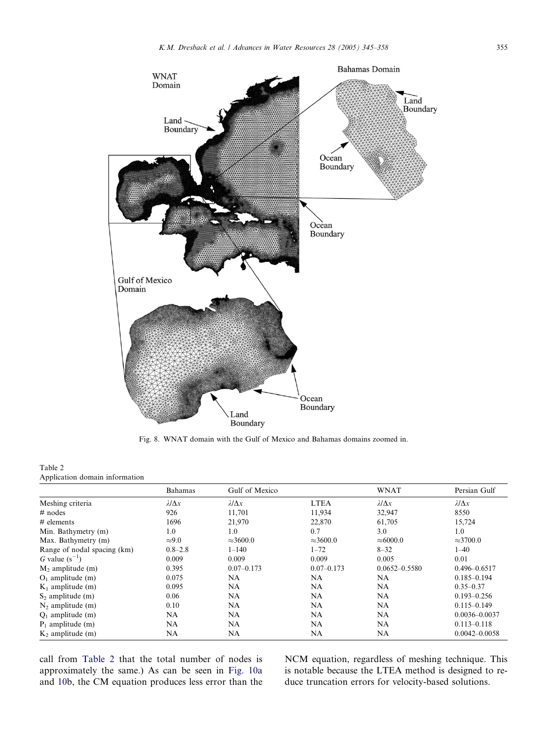<span id="page-10-0"></span>

Fig. 8. WNAT domain with the Gulf of Mexico and Bahamas domains zoomed in.

| Table 2 |                                |
|---------|--------------------------------|
|         | Application domain information |

|                             | <b>Bahamas</b>     | Gulf of Mexico     |                  | <b>WNAT</b>        | Persian Gulf       |
|-----------------------------|--------------------|--------------------|------------------|--------------------|--------------------|
| Meshing criteria            | $\lambda/\Delta x$ | $\lambda/\Delta x$ | <b>LTEA</b>      | $\lambda/\Delta x$ | $\lambda/\Delta x$ |
| $#$ nodes                   | 926                | 11,701             | 11,934           | 32,947             | 8550               |
| $#$ elements                | 1696               | 21,970             | 22,870           | 61,705             | 15,724             |
| Min. Bathymetry (m)         | 1.0                | 1.0                | 0.7              | 3.0                | 1.0                |
| Max. Bathymetry (m)         | $\approx 9.0$      | $\approx$ 3600.0   | $\approx$ 3600.0 | $\approx 6000.0$   | $\approx$ 3700.0   |
| Range of nodal spacing (km) | $0.8 - 2.8$        | $1 - 140$          | $1 - 72$         | $8 - 32$           | $1 - 40$           |
| G value $(s^{-1})$          | 0.009              | 0.009              | 0.009            | 0.005              | 0.01               |
| $M_2$ amplitude (m)         | 0.395              | $0.07 - 0.173$     | $0.07 - 0.173$   | $0.0652 - 0.5580$  | $0.496 - 0.6517$   |
| $O1$ amplitude (m)          | 0.075              | NA                 | <b>NA</b>        | <b>NA</b>          | $0.185 - 0.194$    |
| $K_1$ amplitude (m)         | 0.095              | NA                 | <b>NA</b>        | NA                 | $0.35 - 0.37$      |
| $S_2$ amplitude (m)         | 0.06               | NA                 | NA               | NA                 | $0.193 - 0.256$    |
| $N_2$ amplitude (m)         | 0.10               | NA                 | <b>NA</b>        | NA                 | $0.115 - 0.149$    |
| $Q_1$ amplitude (m)         | NA                 | <b>NA</b>          | NA.              | NA                 | $0.0036 - 0.0037$  |
| $P_1$ amplitude (m)         | <b>NA</b>          | NA                 | <b>NA</b>        | NA                 | $0.113 - 0.118$    |
| $K_2$ amplitude (m)         | NA                 | NA                 | NA               | <b>NA</b>          | $0.0042 - 0.0058$  |

call from Table 2 that the total number of nodes is approximately the same.) As can be seen in [Fig. 10a](#page-11-0) and [10b](#page-11-0), the CM equation produces less error than the

NCM equation, regardless of meshing technique. This is notable because the LTEA method is designed to reduce truncation errors for velocity-based solutions.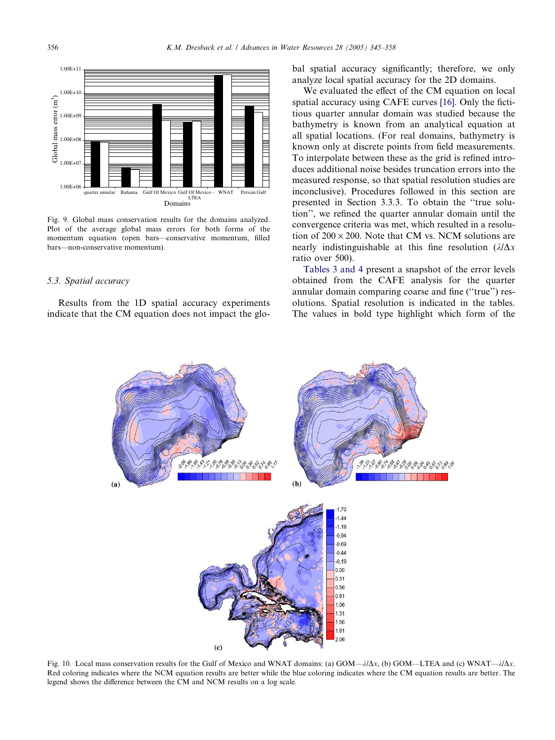<span id="page-11-0"></span>

Fig. 9. Global mass conservation results for the domains analyzed. Plot of the average global mass errors for both forms of the momentum equation (open bars—conservative momentum, filled bars—non-conservative momentum).

# 5.3. Spatial accuracy

Results from the 1D spatial accuracy experiments indicate that the CM equation does not impact the global spatial accuracy significantly; therefore, we only analyze local spatial accuracy for the 2D domains.

We evaluated the effect of the CM equation on local spatial accuracy using CAFE curves [\[16\].](#page-13-0) Only the fictitious quarter annular domain was studied because the bathymetry is known from an analytical equation at all spatial locations. (For real domains, bathymetry is known only at discrete points from field measurements. To interpolate between these as the grid is refined introduces additional noise besides truncation errors into the measured response, so that spatial resolution studies are inconclusive). Procedures followed in this section are presented in Section 3.3.3. To obtain the ''true solution'', we refined the quarter annular domain until the convergence criteria was met, which resulted in a resolution of  $200 \times 200$ . Note that CM vs. NCM solutions are nearly indistinguishable at this fine resolution  $(\lambda/\Delta x)$ ratio over 500).

[Tables 3 and 4](#page-12-0) present a snapshot of the error levels obtained from the CAFE analysis for the quarter annular domain comparing coarse and fine (''true'') resolutions. Spatial resolution is indicated in the tables. The values in bold type highlight which form of the



Fig. 10. Local mass conservation results for the Gulf of Mexico and WNAT domains: (a) GOM— $\lambda/\Delta x$ , (b) GOM—LTEA and (c) WNAT— $\lambda/\Delta x$ . Red coloring indicates where the NCM equation results are better while the blue coloring indicates where the CM equation results are better. The legend shows the difference between the CM and NCM results on a log scale.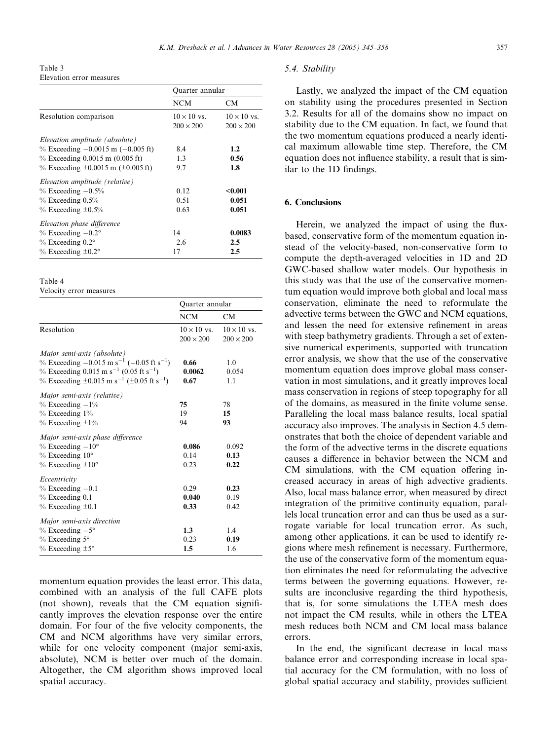<span id="page-12-0"></span>Table 3 Elevation error measures

|                                              | Quarter annular    |                    |  |
|----------------------------------------------|--------------------|--------------------|--|
|                                              | <b>NCM</b>         | CM.                |  |
| Resolution comparison                        | $10 \times 10$ vs. | $10 \times 10$ vs. |  |
|                                              | $200 \times 200$   | $200 \times 200$   |  |
| Elevation amplitude (absolute)               |                    |                    |  |
| % Exceeding $-0.0015$ m $(-0.005$ ft)        | 8.4                | 1.2                |  |
| % Exceeding $0.0015$ m $(0.005$ ft)          | 1.3                | 0.56               |  |
| % Exceeding $\pm 0.0015$ m ( $\pm 0.005$ ft) | 9.7                | 1.8                |  |
| Elevation amplitude (relative)               |                    |                    |  |
| $%$ Exceeding $-0.5%$                        | 0.12               | < 0.001            |  |
| $%$ Exceeding 0.5%                           | 0.51               | 0.051              |  |
| $%$ Exceeding $\pm 0.5\%$                    | 0.63               | 0.051              |  |
| Elevation phase difference                   |                    |                    |  |
| $\%$ Exceeding $-0.2^{\circ}$                | 14                 | 0.0083             |  |
| $%$ Exceeding 0.2 $^{\circ}$                 | 2.6                | 2.5                |  |
| $%$ Exceeding $\pm 0.2$ °                    | 17                 | 2.5                |  |

Table 4

Velocity error measures

|                                                                             | Quarter annular                        |                                        |
|-----------------------------------------------------------------------------|----------------------------------------|----------------------------------------|
|                                                                             | <b>NCM</b>                             | CМ                                     |
| Resolution                                                                  | $10 \times 10$ vs.<br>$200 \times 200$ | $10 \times 10$ vs.<br>$200 \times 200$ |
| Major semi-axis (absolute)                                                  |                                        |                                        |
| % Exceeding $-0.015$ m s <sup>-1</sup> (-0.05 ft s <sup>-1</sup> )          | 0.66                                   | 1.0                                    |
| % Exceeding 0.015 m s <sup>-1</sup> (0.05 ft s <sup>-1</sup> )              | 0.0062                                 | 0.054                                  |
| % Exceeding $\pm 0.015$ m s <sup>-1</sup> ( $\pm 0.05$ ft s <sup>-1</sup> ) | 0.67                                   | 1.1                                    |
| Major semi-axis (relative)                                                  |                                        |                                        |
| $%$ Exceeding $-1\%$                                                        | 75                                     | 78                                     |
| $%$ Exceeding $1%$                                                          | 19                                     | 15                                     |
| $%$ Exceeding $\pm 1\%$                                                     | 94                                     | 93                                     |
| Major semi-axis phase difference                                            |                                        |                                        |
| $\%$ Exceeding $-10^{\circ}$                                                | 0.086                                  | 0.092                                  |
| $%$ Exceeding $10^{\circ}$                                                  | 0.14                                   | 0.13                                   |
| $%$ Exceeding $±10^{\circ}$                                                 | 0.23                                   | 0.22                                   |
| Eccentricity                                                                |                                        |                                        |
| $%$ Exceeding $-0.1$                                                        | 0.29                                   | 0.23                                   |
| $%$ Exceeding 0.1                                                           | 0.040                                  | 0.19                                   |
| $%$ Exceeding $±0.1$                                                        | 0.33                                   | 0.42                                   |
| Major semi-axis direction                                                   |                                        |                                        |
| $\%$ Exceeding $-5^{\circ}$                                                 | 1.3                                    | 1.4                                    |
| $%$ Exceeding 5 $^{\circ}$                                                  | 0.23                                   | 0.19                                   |
| $%$ Exceeding $±5^{\circ}$                                                  | 1.5                                    | 1.6                                    |

momentum equation provides the least error. This data, combined with an analysis of the full CAFE plots (not shown), reveals that the CM equation significantly improves the elevation response over the entire domain. For four of the five velocity components, the CM and NCM algorithms have very similar errors, while for one velocity component (major semi-axis, absolute), NCM is better over much of the domain. Altogether, the CM algorithm shows improved local spatial accuracy.

## 5.4. Stability

Lastly, we analyzed the impact of the CM equation on stability using the procedures presented in Section 3.2. Results for all of the domains show no impact on stability due to the CM equation. In fact, we found that the two momentum equations produced a nearly identical maximum allowable time step. Therefore, the CM equation does not influence stability, a result that is similar to the 1D findings.

# 6. Conclusions

Herein, we analyzed the impact of using the fluxbased, conservative form of the momentum equation instead of the velocity-based, non-conservative form to compute the depth-averaged velocities in 1D and 2D GWC-based shallow water models. Our hypothesis in this study was that the use of the conservative momentum equation would improve both global and local mass conservation, eliminate the need to reformulate the advective terms between the GWC and NCM equations, and lessen the need for extensive refinement in areas with steep bathymetry gradients. Through a set of extensive numerical experiments, supported with truncation error analysis, we show that the use of the conservative momentum equation does improve global mass conservation in most simulations, and it greatly improves local mass conservation in regions of steep topography for all of the domains, as measured in the finite volume sense. Paralleling the local mass balance results, local spatial accuracy also improves. The analysis in Section 4.5 demonstrates that both the choice of dependent variable and the form of the advective terms in the discrete equations causes a difference in behavior between the NCM and CM simulations, with the CM equation offering increased accuracy in areas of high advective gradients. Also, local mass balance error, when measured by direct integration of the primitive continuity equation, parallels local truncation error and can thus be used as a surrogate variable for local truncation error. As such, among other applications, it can be used to identify regions where mesh refinement is necessary. Furthermore, the use of the conservative form of the momentum equation eliminates the need for reformulating the advective terms between the governing equations. However, results are inconclusive regarding the third hypothesis, that is, for some simulations the LTEA mesh does not impact the CM results, while in others the LTEA mesh reduces both NCM and CM local mass balance errors.

In the end, the significant decrease in local mass balance error and corresponding increase in local spatial accuracy for the CM formulation, with no loss of global spatial accuracy and stability, provides sufficient